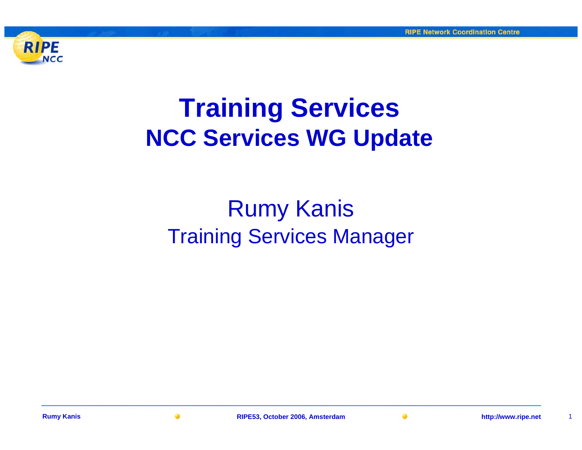

# **Training Services NCC Services WG Update**

### Rumy Kanis Training Services Manager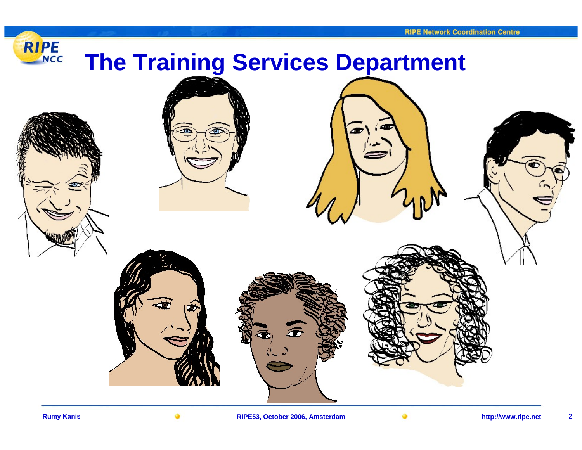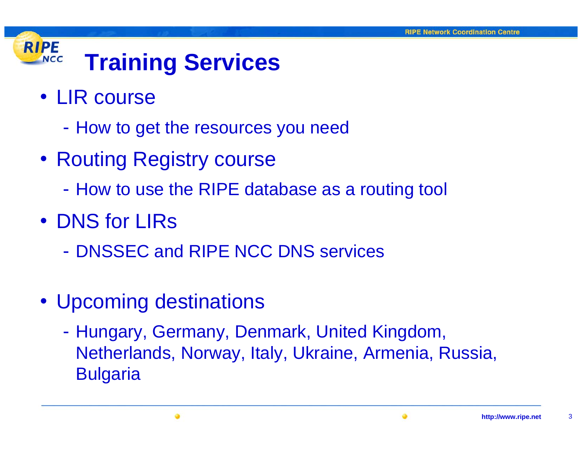#### **RIPE Training Services NCC**

- LIR course
	- -- How to get the resources you need
- Routing Registry course
	- -How to use the RIPE database as a routing tool
- DNS for LIRs
	- DNSSEC and RIPE NCC DNS services
- Upcoming destinations
	- -- Hungary, Germany, Denmark, United Kingdom, Netherlands, Norway, Italy, Ukraine, Armenia, Russia, **Bulgaria**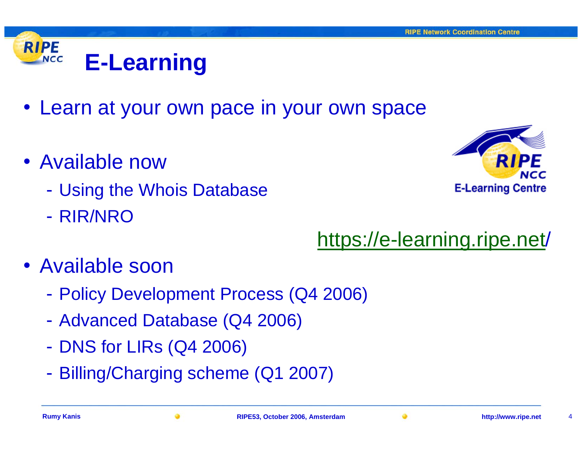#### **RIPE E-Learning NCC**

- Learn at your own pace in your own space
- Available now
	- $\mathcal{L}_{\mathcal{A}}$ Using the Whois Database
	- RIR/NRO

**E-Learning Centre** 

## [https://e-learning.ripe.net](https://e-learning.ripe.net/) /

- Available soon
	- $\mathcal{L}_{\mathcal{A}}$ Policy Development Process (Q4 2006)
	- $\mathcal{L}_{\mathcal{A}}$ Advanced Database (Q4 2006)
	- $\mathcal{L}_{\mathcal{A}}$ - DNS for LIRs (Q4 2006)
	- $\mathcal{L}_{\mathcal{A}}$ Billing/Charging scheme (Q1 2007)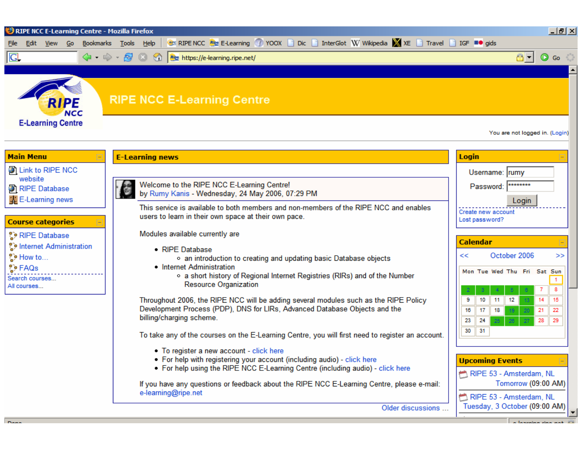



#### **RIPE NCC E-Learning Centre**

You are not logged in. (Login)

Tuesday, 3 October (09:00 AM)

#### **Main Menu**

**D** Link to RIPE NCC website <sup>2</sup> RIPE Database **CLE-Learning news** 

#### **Course categories**

| <b>D</b> RIPE Database  |
|-------------------------|
| Internet Administration |
| ະ How to                |
| ္မ်ာ FAQs               |
| <b>Conroh courses</b>   |

Search courses.. All courses...

| <b>E-Learning news</b>                                                                                                                                                                                | <b>Login</b>                                                                                |                |
|-------------------------------------------------------------------------------------------------------------------------------------------------------------------------------------------------------|---------------------------------------------------------------------------------------------|----------------|
|                                                                                                                                                                                                       | Username: rumy                                                                              |                |
| Welcome to the RIPE NCC E-Learning Centre!<br>by Rumy Kanis - Wednesday, 24 May 2006, 07:29 PM                                                                                                        | ********<br>Password:                                                                       |                |
| This service is available to both members and non-members of the RIPE NCC and enables<br>users to learn in their own space at their own pace.                                                         | Login<br>Create new account<br>Lost password?                                               |                |
| Modules available currently are                                                                                                                                                                       |                                                                                             |                |
| $\bullet$ RIPE Database<br>• an introduction to creating and updating basic Database objects                                                                                                          | Calendar<br>October 2006<br><<                                                              | >>             |
| • Internet Administration<br>o a short history of Regional Internet Registries (RIRs) and of the Number<br><b>Resource Organization</b>                                                               | Mon Tue Wed Thu Fri Sat Sun                                                                 | 8              |
| Throughout 2006, the RIPE NCC will be adding several modules such as the RIPE Policy<br>Development Process (PDP), DNS for LIRs, Advanced Database Objects and the<br>billing/charging scheme.        | 12<br>9<br>10<br>11<br>14<br>20<br>18<br>16<br>17<br>19<br>21<br>23<br>27<br>24<br>28<br>28 | 15<br>22<br>29 |
| To take any of the courses on the E-Learning Centre, you will first need to register an account.                                                                                                      | 30<br>31                                                                                    |                |
| • To register a new account - click here<br>• For help with registering your account (including audio) - click here<br>• For help using the RIPE NCC E-Learning Centre (including audio) - click here | <b>Upcoming Events</b><br>RIPE 53 - Amsterdam, NL                                           |                |
| If you have any questions or feedback about the RIPE NCC E-Learning Centre, please e-mail:<br>e-learning@ripe.net                                                                                     | Tomorrow (09:00 AM)<br>RIPE 53 - Amsterdam, NL                                              |                |

**Rumy Kanis RIPE53, October 2006, Amsterdam http://www.ripe.net** 5

Older discussions ...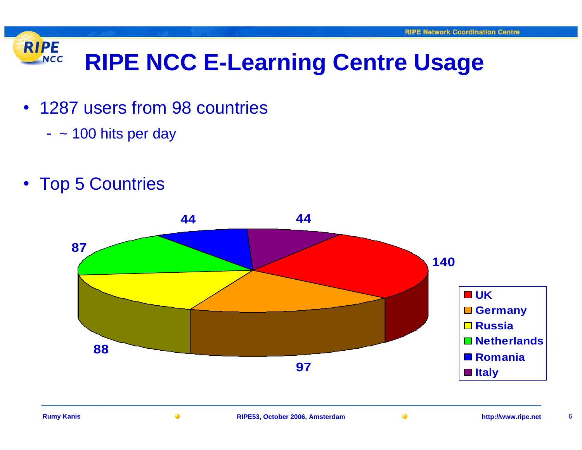#### **RIPE RIPE NCC E-Learning Centre Usage NCC**

- 1287 users from 98 countries
	- ~ 100 hits per day
- Top 5 Countries

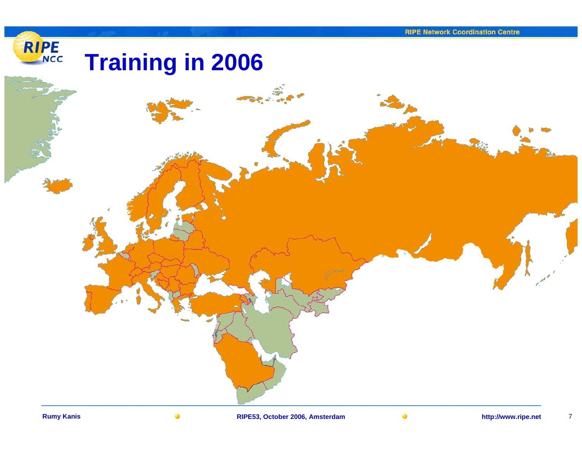### RIPE **Training in 2006**

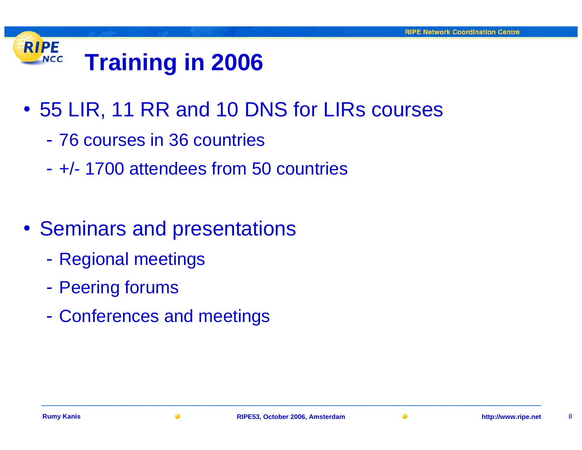#### **RIPE Training in 2006 NCC**

- 55 LIR, 11 RR and 10 DNS for LIRs courses
	- 76 courses in 36 countries
	- +/- 1700 attendees from 50 countries
- Seminars and presentations
	- $\mathcal{L}_{\mathcal{A}}$ Regional meetings
	- $\mathcal{L}_{\mathcal{A}}$ - Peering forums
	- $\mathcal{L}_{\mathcal{A}}$ Conferences and meetings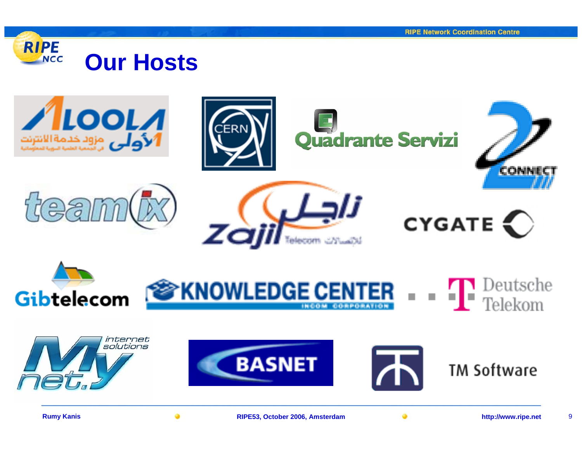















Quadrante Servizi

CON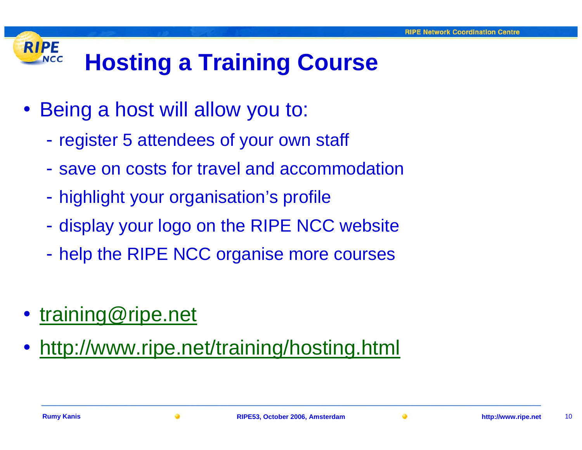#### **RIPE Hosting a Training Course NCC**

- Being a host will allow you to:
	- $\mathcal{L}_{\mathcal{A}}$ - register 5 attendees of your own staff
	- save on costs for travel and accommodation
	- $\mathcal{L}_{\mathcal{A}}$ - highlight your organisation's profile
	- $\mathcal{L}_{\mathcal{A}}$ - display your logo on the RIPE NCC website
	- $\mathcal{L}_{\mathcal{A}}$ help the RIPE NCC organise more courses
- [training@ripe.net](mailto:training@ripe.net)
- <http://www.ripe.net/training/hosting.html>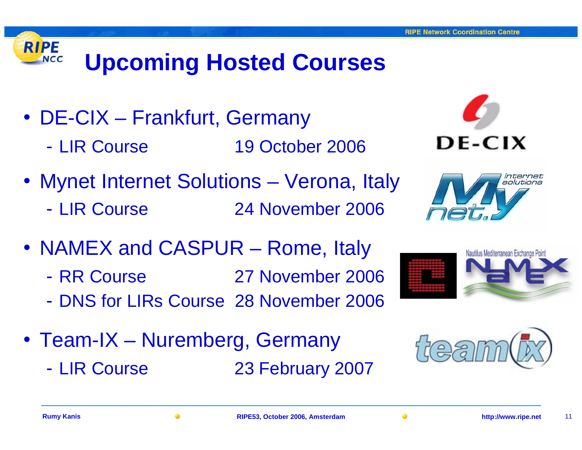# **Upcoming Hosted Courses**

- DE-CIX Frankfurt, Germany
	- LIR Course 19 October 2006
- Mynet Internet Solutions Verona, Italy - LIR Course 24 November 2006
- NAMEX and CASPUR Rome, Italy
	- RR Course 27 November 2006
	- DNS for LIRs Course 28 November 2006
- Team-IX Nuremberg, Germany
	- LIR Course

**RIPE** 

**NCC** 

23 February 2007





Nautilus Mediterranean Exchange Poin





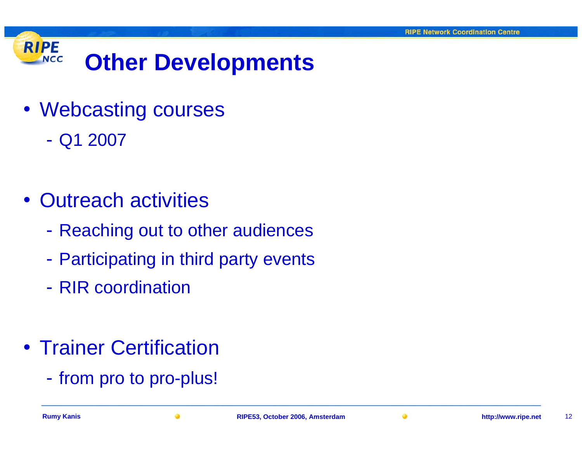#### **RIPE Other Developments NCC**

- Webcasting courses
	- Q1 2007
- Outreach activities
	- $\mathcal{L}_{\mathcal{A}}$ Reaching out to other audiences
	- $\mathcal{L}_{\mathcal{A}}$ Participating in third party events
	- RIR coordination
- Trainer Certification
	- $\mathcal{L}_{\mathcal{A}}$ - from pro to pro-plus!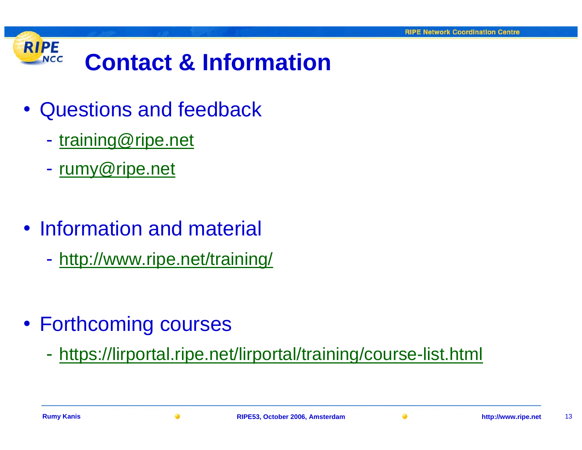

- Questions and feedback
	- $\mathcal{L}_{\mathcal{A}}$ - [training@ripe.net](mailto:training@ripe.net)
	- $\mathcal{L}_{\mathcal{A}}$ <u>- [rumy@ripe.net](mailto:rumy@ripe.net)</u>
- Information and material
	- $\mathcal{L}_{\mathcal{A}}$ - <http://www.ripe.net/training/>

- Forthcoming courses
	- https://lirportal.ripe.net/lirportal/training/course-list.html